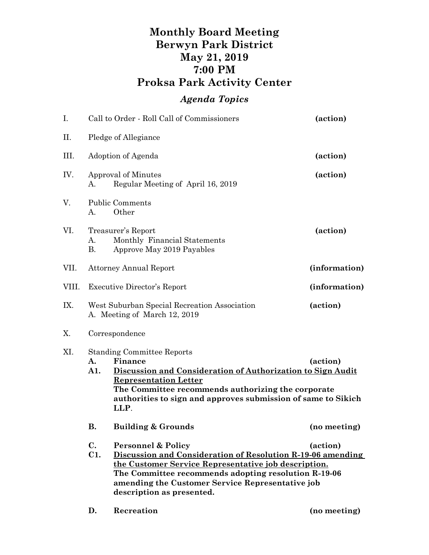## **Monthly Board Meeting Berwyn Park District May 21, 2019 7:00 PM Proksa Park Activity Center**

## *Agenda Topics*

| I.    |                                                                                                                                                                                                                                                                                                                                    | Call to Order - Roll Call of Commissioners                                      | (action)      |  |
|-------|------------------------------------------------------------------------------------------------------------------------------------------------------------------------------------------------------------------------------------------------------------------------------------------------------------------------------------|---------------------------------------------------------------------------------|---------------|--|
| Π.    |                                                                                                                                                                                                                                                                                                                                    | Pledge of Allegiance                                                            |               |  |
| III.  | Adoption of Agenda<br>(action)                                                                                                                                                                                                                                                                                                     |                                                                                 |               |  |
| IV.   | А.                                                                                                                                                                                                                                                                                                                                 | Approval of Minutes<br>Regular Meeting of April 16, 2019                        | (action)      |  |
| V.    | A.                                                                                                                                                                                                                                                                                                                                 | <b>Public Comments</b><br>Other                                                 |               |  |
| VI.   | А.<br>В.                                                                                                                                                                                                                                                                                                                           | Treasurer's Report<br>Monthly Financial Statements<br>Approve May 2019 Payables | (action)      |  |
| VII.  |                                                                                                                                                                                                                                                                                                                                    | <b>Attorney Annual Report</b>                                                   | (information) |  |
| VIII. | (information)<br><b>Executive Director's Report</b>                                                                                                                                                                                                                                                                                |                                                                                 |               |  |
| IX.   | (action)<br>West Suburban Special Recreation Association<br>A. Meeting of March 12, 2019                                                                                                                                                                                                                                           |                                                                                 |               |  |
| Χ.    | Correspondence                                                                                                                                                                                                                                                                                                                     |                                                                                 |               |  |
| XI.   | <b>Standing Committee Reports</b><br>A.<br>Finance<br>(action)<br>A1.<br>Discussion and Consideration of Authorization to Sign Audit<br><b>Representation Letter</b><br>The Committee recommends authorizing the corporate<br>authorities to sign and approves submission of same to Sikich<br>LLP.                                |                                                                                 |               |  |
|       | В.                                                                                                                                                                                                                                                                                                                                 | <b>Building &amp; Grounds</b>                                                   | (no meeting)  |  |
|       | $\mathbf{C}$ .<br><b>Personnel &amp; Policy</b><br>(action)<br>C1.<br>Discussion and Consideration of Resolution R-19-06 amending<br>the Customer Service Representative job description.<br>The Committee recommends adopting resolution R-19-06<br>amending the Customer Service Representative job<br>description as presented. |                                                                                 |               |  |

**D. Recreation (no meeting)**